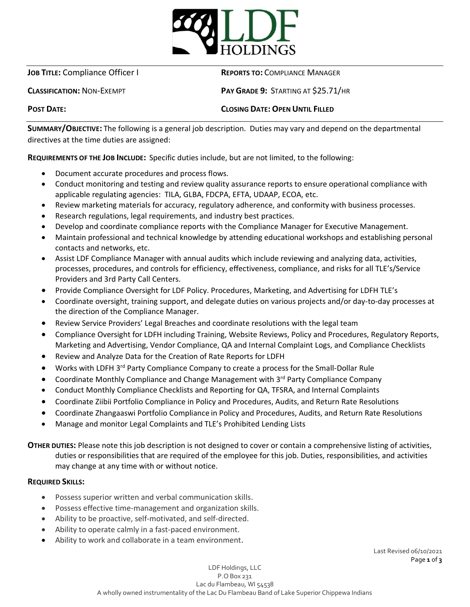

**JOB TITLE:** Compliance Officer I **REPORTS TO:** COMPLIANCE MANAGER

**CLASSIFICATION:** NON-EXEMPT **PAY GRADE 9:** STARTING AT \$25.71/HR

# **POST DATE: CLOSING DATE: OPEN UNTIL FILLED**

**SUMMARY/OBJECTIVE:** The following is a general job description. Duties may vary and depend on the departmental directives at the time duties are assigned:

**REQUIREMENTS OF THE JOB INCLUDE:** Specific duties include, but are not limited, to the following:

- Document accurate procedures and process flows.
- Conduct monitoring and testing and review quality assurance reports to ensure operational compliance with applicable regulating agencies: TILA, GLBA, FDCPA, EFTA, UDAAP, ECOA, etc.
- Review marketing materials for accuracy, regulatory adherence, and conformity with business processes.
- Research regulations, legal requirements, and industry best practices.
- Develop and coordinate compliance reports with the Compliance Manager for Executive Management.
- Maintain professional and technical knowledge by attending educational workshops and establishing personal contacts and networks, etc.
- Assist LDF Compliance Manager with annual audits which include reviewing and analyzing data, activities, processes, procedures, and controls for efficiency, effectiveness, compliance, and risks for all TLE's/Service Providers and 3rd Party Call Centers.
- Provide Compliance Oversight for LDF Policy. Procedures, Marketing, and Advertising for LDFH TLE's
- Coordinate oversight, training support, and delegate duties on various projects and/or day-to-day processes at the direction of the Compliance Manager.
- Review Service Providers' Legal Breaches and coordinate resolutions with the legal team
- Compliance Oversight for LDFH including Training, Website Reviews, Policy and Procedures, Regulatory Reports, Marketing and Advertising, Vendor Compliance, QA and Internal Complaint Logs, and Compliance Checklists
- Review and Analyze Data for the Creation of Rate Reports for LDFH
- Works with LDFH 3<sup>rd</sup> Party Compliance Company to create a process for the Small-Dollar Rule
- Coordinate Monthly Compliance and Change Management with 3<sup>rd</sup> Party Compliance Company
- Conduct Monthly Compliance Checklists and Reporting for QA, TFSRA, and Internal Complaints
- Coordinate Ziibii Portfolio Compliance in Policy and Procedures, Audits, and Return Rate Resolutions
- Coordinate Zhangaaswi Portfolio Compliance in Policy and Procedures, Audits, and Return Rate Resolutions
- Manage and monitor Legal Complaints and TLE's Prohibited Lending Lists

**OTHER DUTIES:** Please note this job description is not designed to cover or contain a comprehensive listing of activities, duties or responsibilities that are required of the employee for this job. Duties, responsibilities, and activities may change at any time with or without notice.

# **REQUIRED SKILLS:**

- Possess superior written and verbal communication skills.
- Possess effective time-management and organization skills.
- Ability to be proactive, self-motivated, and self-directed.
- Ability to operate calmly in a fast-paced environment.
- Ability to work and collaborate in a team environment.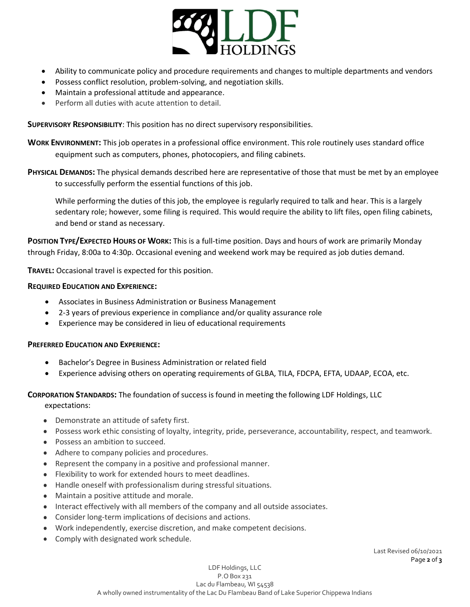

- Ability to communicate policy and procedure requirements and changes to multiple departments and vendors
- Possess conflict resolution, problem-solving, and negotiation skills.
- Maintain a professional attitude and appearance.
- Perform all duties with acute attention to detail.

**SUPERVISORY RESPONSIBILITY**: This position has no direct supervisory responsibilities.

**WORK ENVIRONMENT:** This job operates in a professional office environment. This role routinely uses standard office equipment such as computers, phones, photocopiers, and filing cabinets.

**PHYSICAL DEMANDS:** The physical demands described here are representative of those that must be met by an employee to successfully perform the essential functions of this job.

While performing the duties of this job, the employee is regularly required to talk and hear. This is a largely sedentary role; however, some filing is required. This would require the ability to lift files, open filing cabinets, and bend or stand as necessary.

**POSITION TYPE/EXPECTED HOURS OF WORK:** This is a full-time position. Days and hours of work are primarily Monday through Friday, 8:00a to 4:30p. Occasional evening and weekend work may be required as job duties demand.

**TRAVEL:** Occasional travel is expected for this position.

## **REQUIRED EDUCATION AND EXPERIENCE:**

- Associates in Business Administration or Business Management
- 2-3 years of previous experience in compliance and/or quality assurance role
- Experience may be considered in lieu of educational requirements

## **PREFERRED EDUCATION AND EXPERIENCE:**

- Bachelor's Degree in Business Administration or related field
- Experience advising others on operating requirements of GLBA, TILA, FDCPA, EFTA, UDAAP, ECOA, etc.

### **CORPORATION STANDARDS:** The foundation of success is found in meeting the following LDF Holdings, LLC expectations:

- Demonstrate an attitude of safety first.
- Possess work ethic consisting of loyalty, integrity, pride, perseverance, accountability, respect, and teamwork.
- Possess an ambition to succeed.
- Adhere to company policies and procedures.
- Represent the company in a positive and professional manner.
- Flexibility to work for extended hours to meet deadlines.
- Handle oneself with professionalism during stressful situations.
- Maintain a positive attitude and morale.
- Interact effectively with all members of the company and all outside associates.
- Consider long‐term implications of decisions and actions.
- Work independently, exercise discretion, and make competent decisions.
- Comply with designated work schedule.